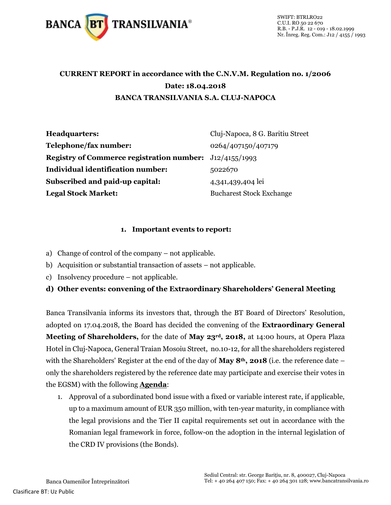

## **CURRENT REPORT in accordance with the C.N.V.M. Regulation no. 1/2006 Date: 18.04.2018 BANCA TRANSILVANIA S.A. CLUJ-NAPOCA**

| <b>Headquarters:</b>                                           | Cluj-Napoca, 8 G. Baritiu Street |
|----------------------------------------------------------------|----------------------------------|
| Telephone/fax number:                                          | 0264/407150/407179               |
| <b>Registry of Commerce registration number:</b> J12/4155/1993 |                                  |
| <b>Individual identification number:</b>                       | 5022670                          |
| Subscribed and paid-up capital:                                | 4,341,439,404 lei                |
| <b>Legal Stock Market:</b>                                     | <b>Bucharest Stock Exchange</b>  |

#### **1. Important events to report:**

- a) Change of control of the company not applicable.
- b) Acquisition or substantial transaction of assets not applicable.
- c) Insolvency procedure not applicable.

#### **d) Other events: convening of the Extraordinary Shareholders' General Meeting**

Banca Transilvania informs its investors that, through the BT Board of Directors' Resolution, adopted on 17.04.2018, the Board has decided the convening of the **Extraordinary General Meeting of Shareholders,** for the date of **May 23rd, 2018,** at 14:00 hours, at Opera Plaza Hotel in Cluj-Napoca, General Traian Mosoiu Street, no.10-12, for all the shareholders registered with the Shareholders' Register at the end of the day of **May 8th, 2018** (i.e. the reference date – only the shareholders registered by the reference date may participate and exercise their votes in the EGSM) with the following **Agenda**:

1. Approval of a subordinated bond issue with a fixed or variable interest rate, if applicable, up to a maximum amount of EUR 350 million, with ten-year maturity, in compliance with the legal provisions and the Tier II capital requirements set out in accordance with the Romanian legal framework in force, follow-on the adoption in the internal legislation of the CRD IV provisions (the Bonds).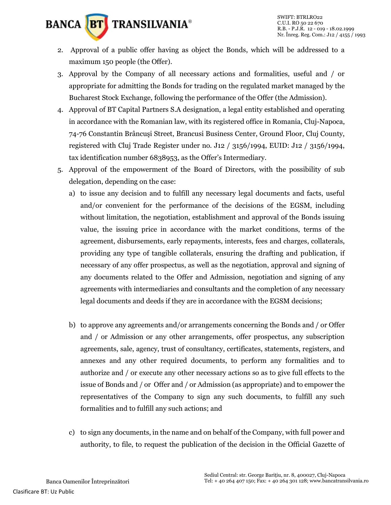

- 2. Approval of a public offer having as object the Bonds, which will be addressed to a maximum 150 people (the Offer).
- 3. Approval by the Company of all necessary actions and formalities, useful and / or appropriate for admitting the Bonds for trading on the regulated market managed by the Bucharest Stock Exchange, following the performance of the Offer (the Admission).
- 4. Approval of BT Capital Partners S.A designation, a legal entity established and operating in accordance with the Romanian law, with its registered office in Romania, Cluj-Napoca, 74-76 Constantin Brâncuşi Street, Brancusi Business Center, Ground Floor, Cluj County, registered with Cluj Trade Register under no. J12 / 3156/1994, EUID: J12 / 3156/1994, tax identification number 6838953, as the Offer's Intermediary.
- 5. Approval of the empowerment of the Board of Directors, with the possibility of sub delegation, depending on the case:
	- a) to issue any decision and to fulfill any necessary legal documents and facts, useful and/or convenient for the performance of the decisions of the EGSM, including without limitation, the negotiation, establishment and approval of the Bonds issuing value, the issuing price in accordance with the market conditions, terms of the agreement, disbursements, early repayments, interests, fees and charges, collaterals, providing any type of tangible collaterals, ensuring the drafting and publication, if necessary of any offer prospectus, as well as the negotiation, approval and signing of any documents related to the Offer and Admission, negotiation and signing of any agreements with intermediaries and consultants and the completion of any necessary legal documents and deeds if they are in accordance with the EGSM decisions;
	- b) to approve any agreements and/or arrangements concerning the Bonds and / or Offer and / or Admission or any other arrangements, offer prospectus, any subscription agreements, sale, agency, trust of consultancy, certificates, statements, registers, and annexes and any other required documents, to perform any formalities and to authorize and / or execute any other necessary actions so as to give full effects to the issue of Bonds and / or Offer and / or Admission (as appropriate) and to empower the representatives of the Company to sign any such documents, to fulfill any such formalities and to fulfill any such actions; and
	- c) to sign any documents, in the name and on behalf of the Company, with full power and authority, to file, to request the publication of the decision in the Official Gazette of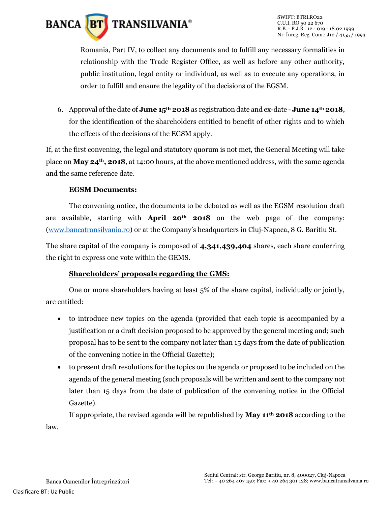

Romania, Part IV, to collect any documents and to fulfill any necessary formalities in relationship with the Trade Register Office, as well as before any other authority, public institution, legal entity or individual, as well as to execute any operations, in order to fulfill and ensure the legality of the decisions of the EGSM.

6. Approval of the date of **June 15th 2018** as registration date and ex-date - **June 14th 2018**, for the identification of the shareholders entitled to benefit of other rights and to which the effects of the decisions of the EGSM apply.

If, at the first convening, the legal and statutory quorum is not met, the General Meeting will take place on **May 24th, 2018**, at 14:00 hours, at the above mentioned address, with the same agenda and the same reference date.

#### **EGSM Documents:**

The convening notice, the documents to be debated as well as the EGSM resolution draft are available, starting with **April 20th 2018** on the web page of the company: [\(www.bancatransilvania.ro](http://www.bancatransilvania.ro/)) or at the Company's headquarters in Cluj-Napoca, 8 G. Baritiu St.

The share capital of the company is composed of **4,341,439,404** shares, each share conferring the right to express one vote within the GEMS.

#### **Shareholders' proposals regarding the GMS:**

One or more shareholders having at least 5% of the share capital, individually or jointly, are entitled:

- to introduce new topics on the agenda (provided that each topic is accompanied by a justification or a draft decision proposed to be approved by the general meeting and; such proposal has to be sent to the company not later than 15 days from the date of publication of the convening notice in the Official Gazette);
- to present draft resolutions for the topics on the agenda or proposed to be included on the agenda of the general meeting (such proposals will be written and sent to the company not later than 15 days from the date of publication of the convening notice in the Official Gazette).

If appropriate, the revised agenda will be republished by **May 11th 2018** according to the law.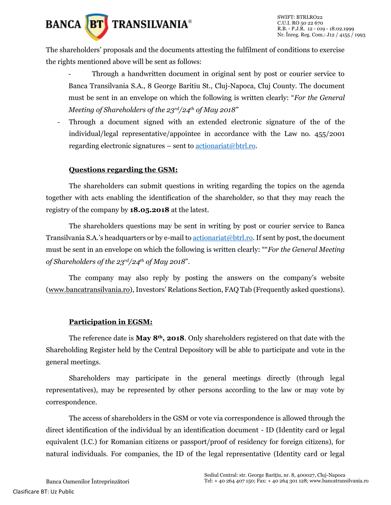

The shareholders' proposals and the documents attesting the fulfilment of conditions to exercise the rights mentioned above will be sent as follows:

- Through a handwritten document in original sent by post or courier service to Banca Transilvania S.A., 8 George Baritiu St., Cluj-Napoca, Cluj County. The document must be sent in an envelope on which the following is written clearly: "*For the General Meeting of Shareholders of the 23rd/24th of May 2018"*
- Through a document signed with an extended electronic signature of the of the individual/legal representative/appointee in accordance with the Law no. 455/2001 regarding electronic signatures – sent to  $\arctan(\omega)$ trl.ro.

#### **Questions regarding the GSM:**

The shareholders can submit questions in writing regarding the topics on the agenda together with acts enabling the identification of the shareholder, so that they may reach the registry of the company by **18.05.2018** at the latest.

The shareholders questions may be sent in writing by post or courier service to Banca Transilvania S.A.'s headquarters or by e-mail to [actionariat@btrl.ro.](mailto:actionariat@btrl.ro) If sent by post, the document must be sent in an envelope on which the following is written clearly: ""*For the General Meeting of Shareholders of the 23rd/24th of May 2018*".

The company may also reply by posting the answers on the company's website [\(www.bancatransilvania.ro](http://www.bancatransilvania.ro/)), Investors' Relations Section, FAQ Tab (Frequently asked questions).

#### **Participation in EGSM:**

The reference date is **May 8th, 2018**. Only shareholders registered on that date with the Shareholding Register held by the Central Depository will be able to participate and vote in the general meetings.

Shareholders may participate in the general meetings directly (through legal representatives), may be represented by other persons according to the law or may vote by correspondence.

The access of shareholders in the GSM or vote via correspondence is allowed through the direct identification of the individual by an identification document - ID (Identity card or legal equivalent (I.C.) for Romanian citizens or passport/proof of residency for foreign citizens), for natural individuals. For companies, the ID of the legal representative (Identity card or legal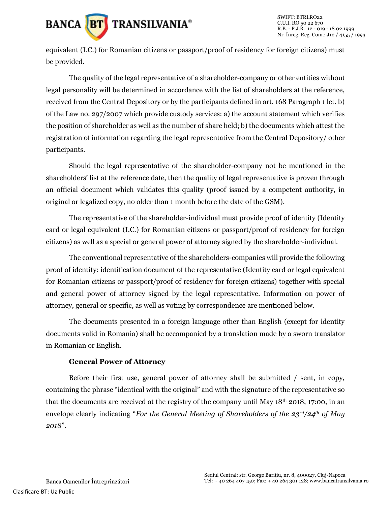

equivalent (I.C.) for Romanian citizens or passport/proof of residency for foreign citizens) must be provided.

The quality of the legal representative of a shareholder-company or other entities without legal personality will be determined in accordance with the list of shareholders at the reference, received from the Central Depository or by the participants defined in art. 168 Paragraph 1 let. b) of the Law no. 297/2007 which provide custody services: a) the account statement which verifies the position of shareholder as well as the number of share held; b) the documents which attest the registration of information regarding the legal representative from the Central Depository/ other participants.

Should the legal representative of the shareholder-company not be mentioned in the shareholders' list at the reference date, then the quality of legal representative is proven through an official document which validates this quality (proof issued by a competent authority, in original or legalized copy, no older than 1 month before the date of the GSM).

The representative of the shareholder-individual must provide proof of identity (Identity card or legal equivalent (I.C.) for Romanian citizens or passport/proof of residency for foreign citizens) as well as a special or general power of attorney signed by the shareholder-individual.

The conventional representative of the shareholders-companies will provide the following proof of identity: identification document of the representative (Identity card or legal equivalent for Romanian citizens or passport/proof of residency for foreign citizens) together with special and general power of attorney signed by the legal representative. Information on power of attorney, general or specific, as well as voting by correspondence are mentioned below.

The documents presented in a foreign language other than English (except for identity documents valid in Romania) shall be accompanied by a translation made by a sworn translator in Romanian or English.

#### **General Power of Attorney**

Before their first use, general power of attorney shall be submitted / sent, in copy, containing the phrase "identical with the original" and with the signature of the representative so that the documents are received at the registry of the company until May  $18<sup>th</sup>$  2018, 17:00, in an envelope clearly indicating "*For the General Meeting of Shareholders of the 23rd/24th of May 2018*".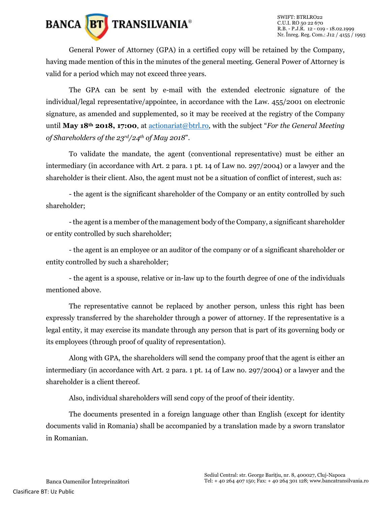

General Power of Attorney (GPA) in a certified copy will be retained by the Company, having made mention of this in the minutes of the general meeting. General Power of Attorney is valid for a period which may not exceed three years.

The GPA can be sent by e-mail with the extended electronic signature of the individual/legal representative/appointee, in accordance with the Law. 455/2001 on electronic signature, as amended and supplemented, so it may be received at the registry of the Company until **May 18th 2018, 17:00**, at [actionariat@btrl.ro](mailto:actionariat@btrl.ro), with the subject "*For the General Meeting of Shareholders of the 23rd/24th of May 2018*".

To validate the mandate, the agent (conventional representative) must be either an intermediary (in accordance with Art. 2 para. 1 pt. 14 of Law no. 297/2004) or a lawyer and the shareholder is their client. Also, the agent must not be a situation of conflict of interest, such as:

- the agent is the significant shareholder of the Company or an entity controlled by such shareholder;

-the agent is a member of the management body of the Company, a significant shareholder or entity controlled by such shareholder;

- the agent is an employee or an auditor of the company or of a significant shareholder or entity controlled by such a shareholder;

- the agent is a spouse, relative or in-law up to the fourth degree of one of the individuals mentioned above.

The representative cannot be replaced by another person, unless this right has been expressly transferred by the shareholder through a power of attorney. If the representative is a legal entity, it may exercise its mandate through any person that is part of its governing body or its employees (through proof of quality of representation).

Along with GPA, the shareholders will send the company proof that the agent is either an intermediary (in accordance with Art. 2 para. 1 pt. 14 of Law no. 297/2004) or a lawyer and the shareholder is a client thereof.

Also, individual shareholders will send copy of the proof of their identity.

The documents presented in a foreign language other than English (except for identity documents valid in Romania) shall be accompanied by a translation made by a sworn translator in Romanian.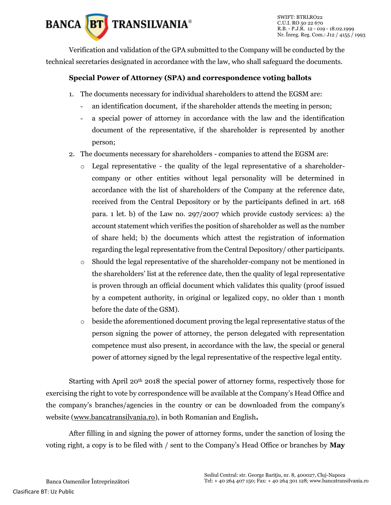

Verification and validation of the GPA submitted to the Company will be conducted by the technical secretaries designated in accordance with the law, who shall safeguard the documents.

### **Special Power of Attorney (SPA) and correspondence voting ballots**

- 1. The documents necessary for individual shareholders to attend the EGSM are:
	- an identification document, if the shareholder attends the meeting in person;
	- a special power of attorney in accordance with the law and the identification document of the representative, if the shareholder is represented by another person;
- 2. The documents necessary for shareholders companies to attend the EGSM are:
	- $\circ$  Legal representative the quality of the legal representative of a shareholdercompany or other entities without legal personality will be determined in accordance with the list of shareholders of the Company at the reference date, received from the Central Depository or by the participants defined in art. 168 para. 1 let. b) of the Law no. 297/2007 which provide custody services: a) the account statement which verifies the position of shareholder as well as the number of share held; b) the documents which attest the registration of information regarding the legal representative from the Central Depository/ other participants.
	- o Should the legal representative of the shareholder-company not be mentioned in the shareholders' list at the reference date, then the quality of legal representative is proven through an official document which validates this quality (proof issued by a competent authority, in original or legalized copy, no older than 1 month before the date of the GSM).
	- $\circ$  beside the aforementioned document proving the legal representative status of the person signing the power of attorney, the person delegated with representation competence must also present, in accordance with the law, the special or general power of attorney signed by the legal representative of the respective legal entity.

Starting with April  $20<sup>th</sup> 2018$  the special power of attorney forms, respectively those for exercising the right to vote by correspondence will be available at the Company's Head Office and the company's branches/agencies in the country or can be downloaded from the company's website [\(www.bancatransilvania.ro\)](http://www.bancatransilvania.ro/), in both Romanian and English**.**

After filling in and signing the power of attorney forms, under the sanction of losing the voting right, a copy is to be filed with / sent to the Company's Head Office or branches by **May**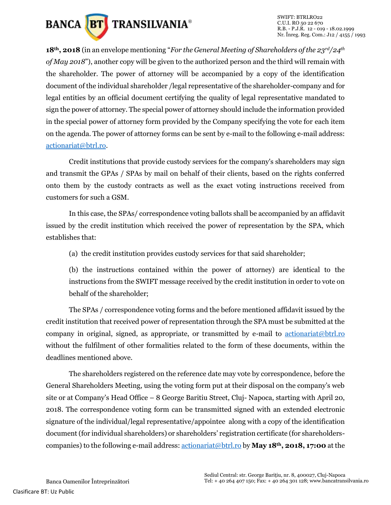

**18th, 2018** (in an envelope mentioning "*For the General Meeting of Shareholders of the 23rd/24th of May 2018*"), another copy will be given to the authorized person and the third will remain with the shareholder. The power of attorney will be accompanied by a copy of the identification document of the individual shareholder /legal representative of the shareholder-company and for legal entities by an official document certifying the quality of legal representative mandated to sign the power of attorney. The special power of attorney should include the information provided in the special power of attorney form provided by the Company specifying the vote for each item on the agenda. The power of attorney forms can be sent by e-mail to the following e-mail address: [actionariat@btrl.ro.](mailto:actionariat@btrl.ro)

Credit institutions that provide custody services for the company's shareholders may sign and transmit the GPAs / SPAs by mail on behalf of their clients, based on the rights conferred onto them by the custody contracts as well as the exact voting instructions received from customers for such a GSM.

In this case, the SPAs/ correspondence voting ballots shall be accompanied by an affidavit issued by the credit institution which received the power of representation by the SPA, which establishes that:

(a) the credit institution provides custody services for that said shareholder;

(b) the instructions contained within the power of attorney) are identical to the instructions from the SWIFT message received by the credit institution in order to vote on behalf of the shareholder;

The SPAs / correspondence voting forms and the before mentioned affidavit issued by the credit institution that received power of representation through the SPA must be submitted at the company in original, signed, as appropriate, or transmitted by e-mail to [actionariat@btrl.ro](mailto:actionariat@btrl.ro) without the fulfilment of other formalities related to the form of these documents, within the deadlines mentioned above.

The shareholders registered on the reference date may vote by correspondence, before the General Shareholders Meeting, using the voting form put at their disposal on the company's web site or at Company's Head Office – 8 George Baritiu Street, Cluj- Napoca, starting with April 20, 2018. The correspondence voting form can be transmitted signed with an extended electronic signature of the individual/legal representative/appointee along with a copy of the identification document (for individual shareholders) or shareholders' registration certificate (for shareholderscompanies) to the following e-mail address: [actionariat@btrl.ro](mailto:actionariat@btrl.ro) by **May 18th, 2018, 17:00** at the